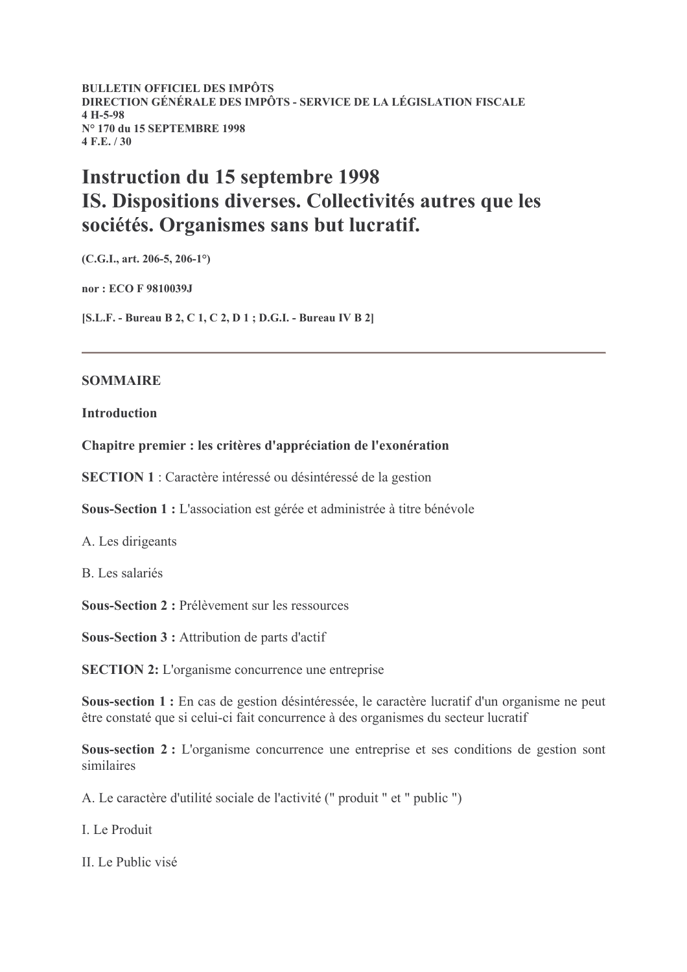**BULLETIN OFFICIEL DES IMPÔTS** DIRECTION GÉNÉRALE DES IMPÔTS - SERVICE DE LA LÉGISLATION FISCALE  $4 H-5-98$ N° 170 du 15 SEPTEMBRE 1998  $4 F.E. / 30$ 

# **Instruction du 15 septembre 1998** IS. Dispositions diverses. Collectivités autres que les sociétés. Organismes sans but lucratif.

 $(C.G.I., art. 206-5, 206-1°)$ 

nor: ECO F 9810039J

[S.L.F. - Bureau B 2, C 1, C 2, D 1; D.G.I. - Bureau IV B 2]

#### **SOMMAIRE**

**Introduction** 

Chapitre premier : les critères d'appréciation de l'exonération

**SECTION 1**: Caractère intéressé ou désintéressé de la gestion

Sous-Section 1 : L'association est gérée et administrée à titre bénévole

A. Les dirigeants

**B.** Les salariés

Sous-Section 2 : Prélèvement sur les ressources

**Sous-Section 3 : Attribution de parts d'actif** 

**SECTION 2:** L'organisme concurrence une entreprise

Sous-section 1 : En cas de gestion désintéressée, le caractère lucratif d'un organisme ne peut être constaté que si celui-ci fait concurrence à des organismes du secteur lucratif

Sous-section 2: L'organisme concurrence une entreprise et ses conditions de gestion sont similaires

A. Le caractère d'utilité sociale de l'activité (" produit " et " public ")

I Le Produit

II. Le Public visé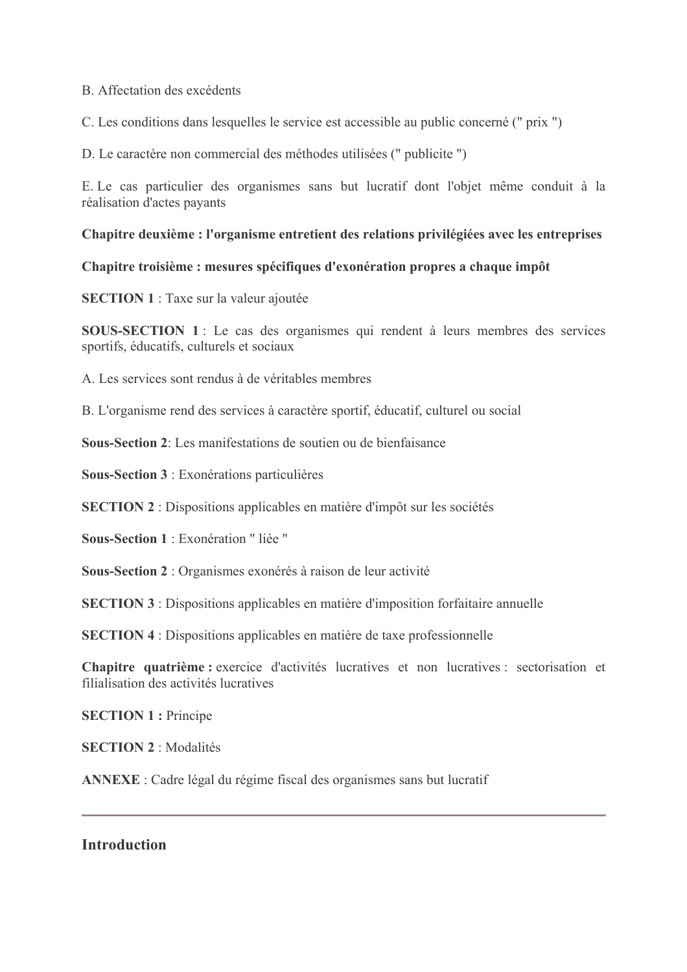### B. Affectation des excédents

C. Les conditions dans lesquelles le service est accessible au public concerné (" prix ")

D. Le caractère non commercial des méthodes utilisées (" publicite ")

E. Le cas particulier des organismes sans but lucratif dont l'objet même conduit à la réalisation d'actes payants

## Chapitre deuxième : l'organisme entretient des relations privilégiées avec les entreprises

## Chapitre troisième : mesures spécifiques d'exonération propres a chaque impôt

**SECTION 1** : Taxe sur la valeur ajoutée

SOUS-SECTION 1 : Le cas des organismes qui rendent à leurs membres des services sportifs, éducatifs, culturels et sociaux

A. Les services sont rendus à de véritables membres

B. L'organisme rend des services à caractère sportif, éducatif, culturel ou social

**Sous-Section 2:** Les manifestations de soutien ou de bienfaisance

Sous-Section 3 : Exonérations particulières

**SECTION 2**: Dispositions applicables en matière d'impôt sur les sociétés

Sous-Section 1 : Exonération " liée "

Sous-Section 2 : Organismes exonérés à raison de leur activité

**SECTION 3**: Dispositions applicables en matière d'imposition forfaitaire annuelle

**SECTION 4**: Dispositions applicables en matière de taxe professionnelle

Chapitre quatrième: exercice d'activités lucratives et non lucratives : sectorisation et filialisation des activités lucratives

**SECTION 1: Principe** 

**SECTION 2: Modalités** 

**ANNEXE**: Cadre légal du régime fiscal des organismes sans but lucratif

**Introduction**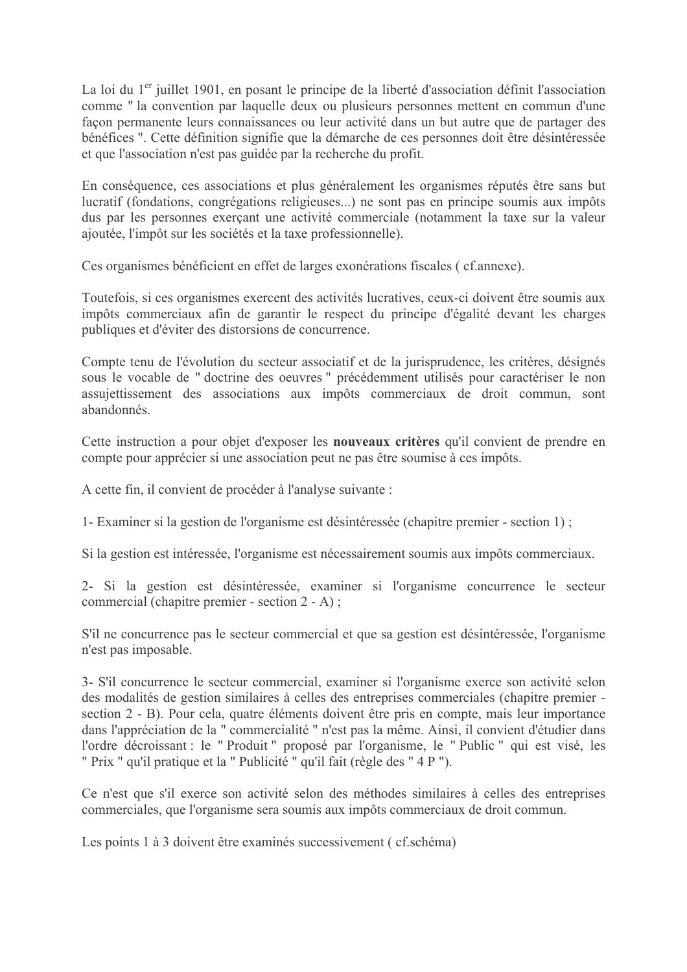La loi du 1<sup>er</sup> juillet 1901, en posant le principe de la liberté d'association définit l'association comme " la convention par laquelle deux ou plusieurs personnes mettent en commun d'une facon permanente leurs connaissances ou leur activité dans un but autre que de partager des bénéfices ". Cette définition signifie que la démarche de ces personnes doit être désintéressée et que l'association n'est pas guidée par la recherche du profit.

En conséquence, ces associations et plus généralement les organismes réputés être sans but lucratif (fondations, congrégations religieuses...) ne sont pas en principe soumis aux impôts dus par les personnes exercant une activité commerciale (notamment la taxe sur la valeur ajoutée, l'impôt sur les sociétés et la taxe professionnelle).

Ces organismes bénéficient en effet de larges exonérations fiscales (cf.annexe).

Toutefois, si ces organismes exercent des activités lucratives, ceux-ci doivent être soumis aux impôts commerciaux afin de garantir le respect du principe d'égalité devant les charges publiques et d'éviter des distorsions de concurrence.

Compte tenu de l'évolution du secteur associatif et de la jurisprudence, les critères, désignés sous le vocable de "doctrine des oeuvres " précédemment utilisés pour caractériser le non assujettissement des associations aux impôts commerciaux de droit commun, sont abandonnés

Cette instruction a pour objet d'exposer les nouveaux critères qu'il convient de prendre en compte pour apprécier si une association peut ne pas être soumise à ces impôts.

A cette fin, il convient de procéder à l'analyse suivante :

1- Examiner si la gestion de l'organisme est désintéressée (chapitre premier - section 1);

Si la gestion est intéressée. l'organisme est nécessairement soumis aux impôts commerciaux.

2- Si la gestion est désintéressée, examiner si l'organisme concurrence le secteur commercial (chapitre premier - section  $2 - A$ );

S'il ne concurrence pas le secteur commercial et que sa gestion est désintéressée, l'organisme n'est pas imposable.

3- S'il concurrence le secteur commercial, examiner si l'organisme exerce son activité selon des modalités de gestion similaires à celles des entreprises commerciales (chapitre premier section 2 - B). Pour cela, quatre éléments doivent être pris en compte, mais leur importance dans l'appréciation de la "commercialité " n'est pas la même. Ainsi, il convient d'étudier dans l'ordre décroissant : le "Produit" proposé par l'organisme, le "Public" qui est visé, les " Prix " qu'il pratique et la " Publicité " qu'il fait (règle des " 4 P ").

Ce n'est que s'il exerce son activité selon des méthodes similaires à celles des entreprises commerciales, que l'organisme sera soumis aux impôts commerciaux de droit commun.

Les points 1 à 3 doivent être examinés successivement (cf. schéma)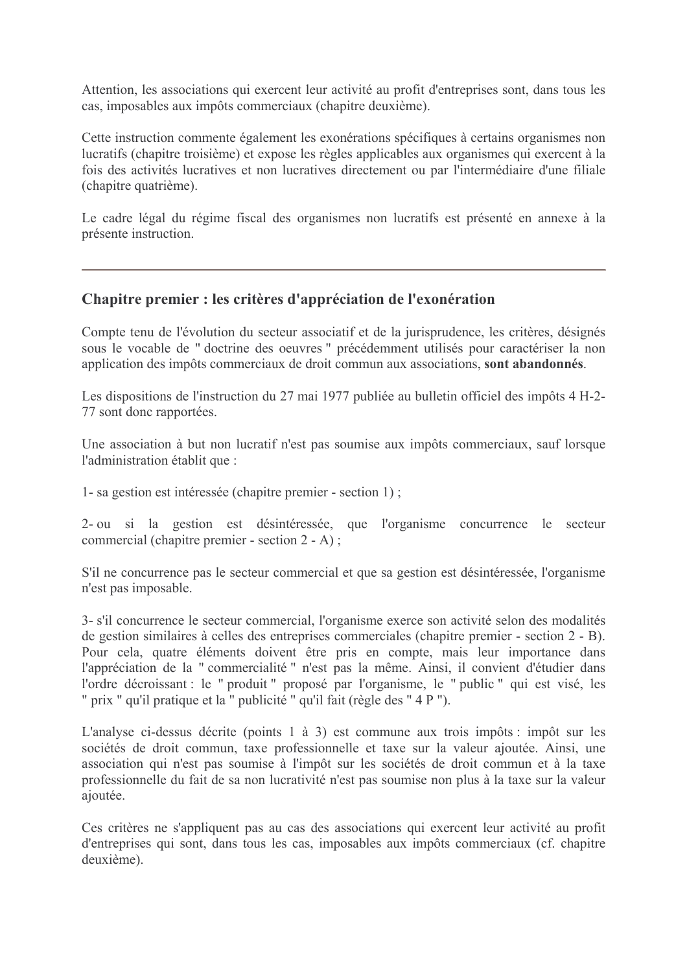Attention, les associations qui exercent leur activité au profit d'entreprises sont, dans tous les cas, imposables aux impôts commerciaux (chapitre deuxième).

Cette instruction commente également les exonérations spécifiques à certains organismes non lucratifs (chapitre troisième) et expose les règles applicables aux organismes qui exercent à la fois des activités lucratives et non lucratives directement ou par l'intermédiaire d'une filiale (chapitre quatrième).

Le cadre légal du régime fiscal des organismes non lucratifs est présenté en annexe à la présente instruction.

# Chapitre premier : les critères d'appréciation de l'exonération

Compte tenu de l'évolution du secteur associatif et de la jurisprudence, les critères, désignés sous le vocable de "doctrine des oeuvres " précédemment utilisés pour caractériser la non application des impôts commerciaux de droit commun aux associations, sont abandonnés.

Les dispositions de l'instruction du 27 mai 1977 publiée au bulletin officiel des impôts 4 H-2-77 sont donc rapportées.

Une association à but non lucratif n'est pas soumise aux impôts commerciaux, sauf lorsque l'administration établit que :

1- sa gestion est intéressée (chapitre premier - section 1);

2- ou si la gestion est désintéressée, que l'organisme concurrence le secteur commercial (chapitre premier - section  $2 - A$ );

S'il ne concurrence pas le secteur commercial et que sa gestion est désintéressée, l'organisme n'est pas imposable.

3- s'il concurrence le secteur commercial, l'organisme exerce son activité selon des modalités de gestion similaires à celles des entreprises commerciales (chapitre premier - section 2 - B). Pour cela, quatre éléments doivent être pris en compte, mais leur importance dans l'appréciation de la "commercialité " n'est pas la même. Ainsi, il convient d'étudier dans l'ordre décroissant : le "produit" proposé par l'organisme, le "public" qui est visé, les " prix " qu'il pratique et la " publicité " qu'il fait (règle des " 4 P ").

L'analyse ci-dessus décrite (points 1 à 3) est commune aux trois impôts : impôt sur les sociétés de droit commun, taxe professionnelle et taxe sur la valeur ajoutée. Ainsi, une association qui n'est pas soumise à l'impôt sur les sociétés de droit commun et à la taxe professionnelle du fait de sa non lucrativité n'est pas soumise non plus à la taxe sur la valeur ajoutée.

Ces critères ne s'appliquent pas au cas des associations qui exercent leur activité au profit d'entreprises qui sont, dans tous les cas, imposables aux impôts commerciaux (cf. chapitre deuxième)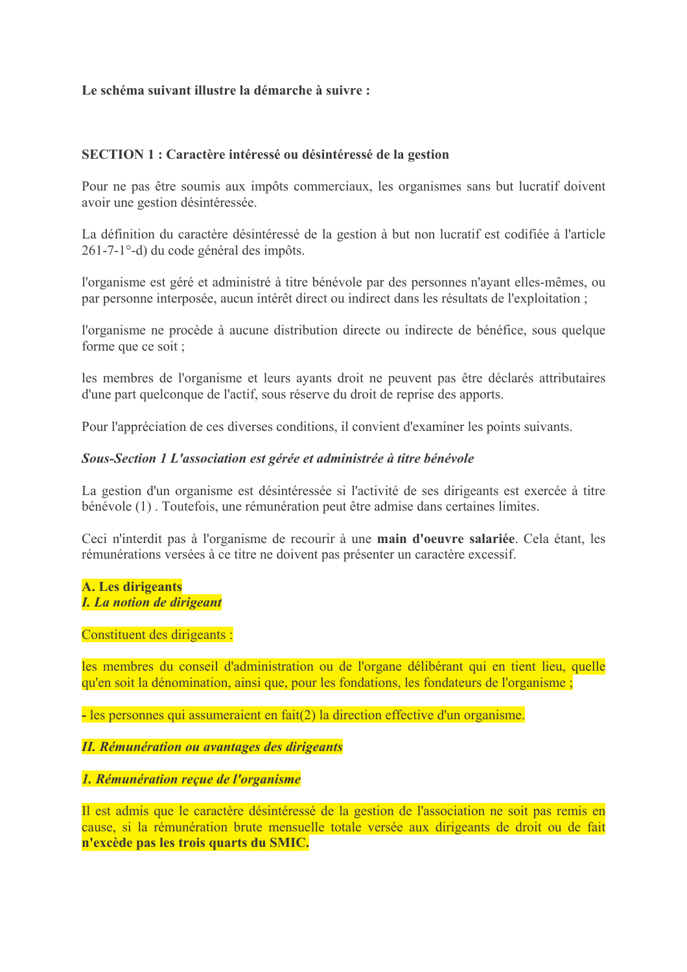# Le schéma suivant illustre la démarche à suivre :

#### **SECTION 1 : Caractère intéressé ou désintéressé de la gestion**

Pour ne pas être soumis aux impôts commerciaux, les organismes sans but lucratif doivent avoir une gestion désintéressée.

La définition du caractère désintéressé de la gestion à but non lucratif est codifiée à l'article 261-7-1<sup>o</sup>-d) du code général des impôts.

l'organisme est géré et administré à titre bénévole par des personnes n'ayant elles-mêmes, ou par personne interposée, aucun intérêt direct ou indirect dans les résultats de l'exploitation ;

l'organisme ne procède à aucune distribution directe ou indirecte de bénéfice, sous quelque forme que ce soit ;

les membres de l'organisme et leurs avants droit ne peuvent pas être déclarés attributaires d'une part quelconque de l'actif, sous réserve du droit de reprise des apports.

Pour l'appréciation de ces diverses conditions, il convient d'examiner les points suivants.

#### Sous-Section 1 L'association est gérée et administrée à titre bénévole

La gestion d'un organisme est désintéressée si l'activité de ses dirigeants est exercée à titre bénévole (1). Toutefois, une rémunération peut être admise dans certaines limites.

Ceci n'interdit pas à l'organisme de recourir à une main d'oeuvre salariée. Cela étant, les rémunérations versées à ce titre ne doivent pas présenter un caractère excessif.

#### **A. Les dirigeants I.** La notion de dirigeant

#### Constituent des dirigeants :

les membres du conseil d'administration ou de l'organe délibérant qui en tient lieu, quelle qu'en soit la dénomination, ainsi que, pour les fondations, les fondateurs de l'organisme;

- les personnes qui assumeraient en fait(2) la direction effective d'un organisme.

#### **II. Rémunération ou avantages des dirigeants**

#### 1. Rémunération recue de l'organisme

Il est admis que le caractère désintéressé de la gestion de l'association ne soit pas remis en cause, si la rémunération brute mensuelle totale versée aux dirigeants de droit ou de fait n'excède pas les trois quarts du SMIC.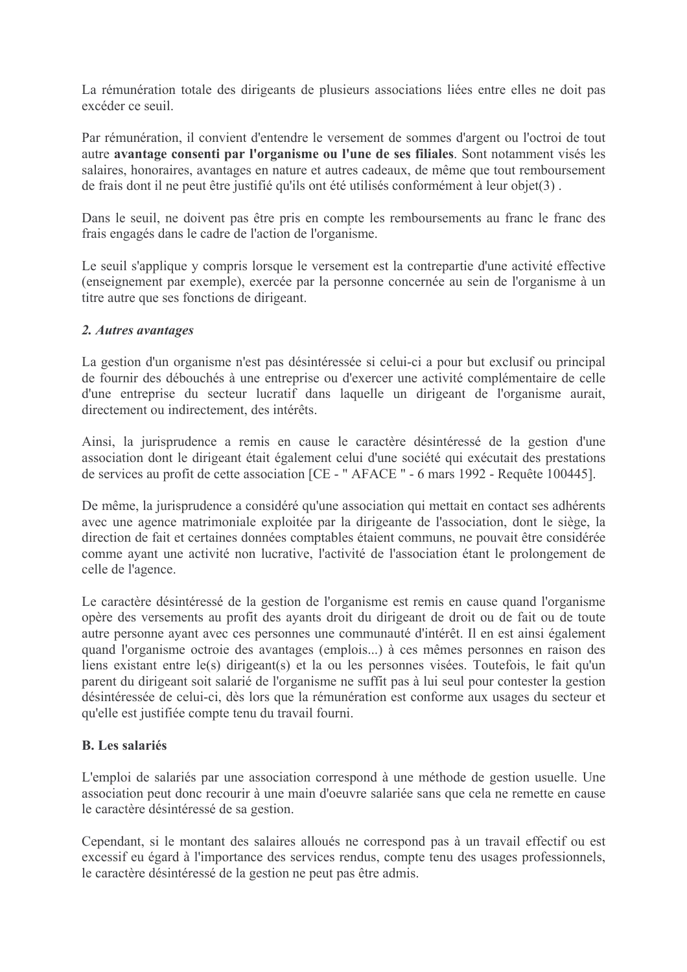La rémunération totale des dirigeants de plusieurs associations liées entre elles ne doit pas excéder ce seuil.

Par rémunération, il convient d'entendre le versement de sommes d'argent ou l'octroi de tout autre avantage consenti par l'organisme ou l'une de ses filiales. Sont notamment visés les salaires, honoraires, avantages en nature et autres cadeaux, de même que tout remboursement de frais dont il ne peut être justifié qu'ils ont été utilisés conformément à leur objet(3).

Dans le seuil, ne doivent pas être pris en compte les remboursements au franc le franc des frais engagés dans le cadre de l'action de l'organisme.

Le seuil s'applique y compris lorsque le versement est la contrepartie d'une activité effective (enseignement par exemple), exercée par la personne concernée au sein de l'organisme à un titre autre que ses fonctions de dirigeant.

## 2. Autres avantages

La gestion d'un organisme n'est pas désintéressée si celui-ci a pour but exclusif ou principal de fournir des débouchés à une entreprise ou d'exercer une activité complémentaire de celle d'une entreprise du secteur lucratif dans laquelle un dirigeant de l'organisme aurait, directement ou indirectement, des intérêts.

Ainsi, la jurisprudence a remis en cause le caractère désintéressé de la gestion d'une association dont le dirigeant était également celui d'une société qui exécutait des prestations de services au profit de cette association [CE - "AFACE " - 6 mars 1992 - Requête 100445].

De même, la jurisprudence a considéré qu'une association qui mettait en contact ses adhérents avec une agence matrimoniale exploitée par la dirigeante de l'association, dont le siège, la direction de fait et certaines données comptables étaient communs, ne pouvait être considérée comme avant une activité non lucrative, l'activité de l'association étant le prolongement de celle de l'agence.

Le caractère désintéressé de la gestion de l'organisme est remis en cause quand l'organisme opère des versements au profit des ayants droit du dirigeant de droit ou de fait ou de toute autre personne ayant avec ces personnes une communauté d'intérêt. Il en est ainsi également quand l'organisme octroie des avantages (emplois...) à ces mêmes personnes en raison des liens existant entre le(s) dirigeant(s) et la ou les personnes visées. Toutefois, le fait qu'un parent du dirigeant soit salarié de l'organisme ne suffit pas à lui seul pour contester la gestion désintéressée de celui-ci, dès lors que la rémunération est conforme aux usages du secteur et qu'elle est justifiée compte tenu du travail fourni.

# **B.** Les salariés

L'emploi de salariés par une association correspond à une méthode de gestion usuelle. Une association peut donc recourir à une main d'oeuvre salariée sans que cela ne remette en cause le caractère désintéressé de sa gestion.

Cependant, si le montant des salaires alloués ne correspond pas à un travail effectif ou est excessif eu égard à l'importance des services rendus, compte tenu des usages professionnels, le caractère désintéressé de la gestion ne peut pas être admis.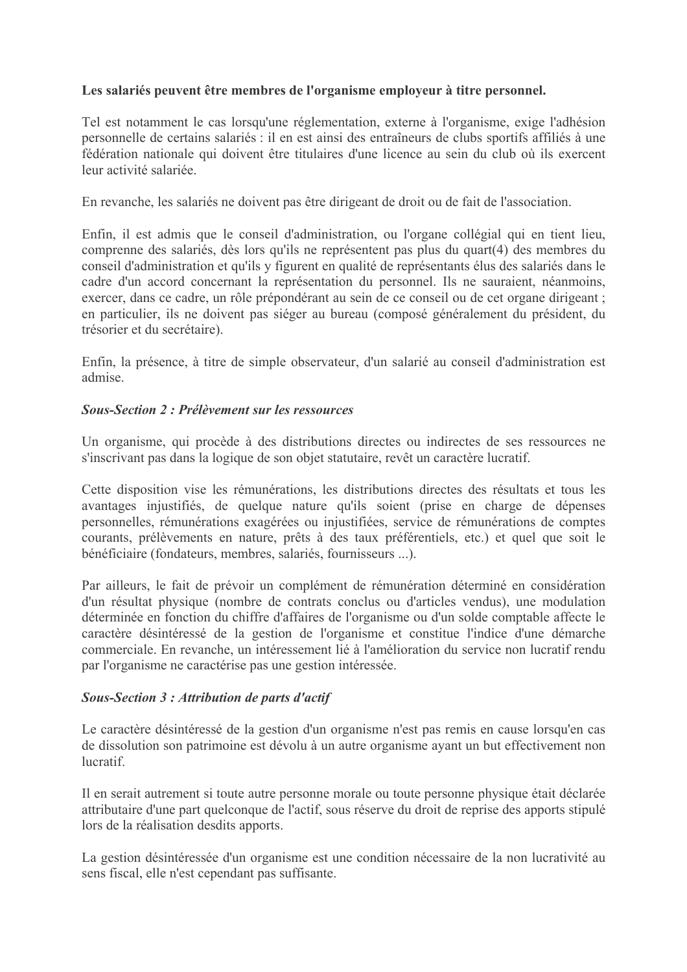# Les salariés peuvent être membres de l'organisme employeur à titre personnel.

Tel est notamment le cas lorsqu'une réglementation, externe à l'organisme, exige l'adhésion personnelle de certains salariés : il en est ainsi des entraîneurs de clubs sportifs affiliés à une fédération nationale qui doivent être titulaires d'une licence au sein du club où ils exercent leur activité salariée

En revanche, les salariés ne doivent pas être dirigeant de droit ou de fait de l'association.

Enfin, il est admis que le conseil d'administration, ou l'organe collégial qui en tient lieu, comprenne des salariés, dès lors qu'ils ne représentent pas plus du quart(4) des membres du conseil d'administration et qu'ils y figurent en qualité de représentants élus des salariés dans le cadre d'un accord concernant la représentation du personnel. Ils ne sauraient, néanmoins, exercer, dans ce cadre, un rôle prépondérant au sein de ce conseil ou de cet organe dirigeant : en particulier, ils ne doivent pas siéger au bureau (composé généralement du président, du trésorier et du secrétaire).

Enfin, la présence, à titre de simple observateur, d'un salarié au conseil d'administration est admise

#### **Sous-Section 2 : Prélèvement sur les ressources**

Un organisme, qui procède à des distributions directes ou indirectes de ses ressources ne s'inscrivant pas dans la logique de son objet statutaire, revêt un caractère lucratif.

Cette disposition vise les rémunérations, les distributions directes des résultats et tous les avantages injustifiés, de quelque nature qu'ils soient (prise en charge de dépenses personnelles, rémunérations exagérées ou injustifiées, service de rémunérations de comptes courants, prélèvements en nature, prêts à des taux préférentiels, etc.) et quel que soit le bénéficiaire (fondateurs, membres, salariés, fournisseurs ...).

Par ailleurs, le fait de prévoir un complément de rémunération déterminé en considération d'un résultat physique (nombre de contrats conclus ou d'articles vendus), une modulation déterminée en fonction du chiffre d'affaires de l'organisme ou d'un solde comptable affecte le caractère désintéressé de la gestion de l'organisme et constitue l'indice d'une démarche commerciale. En revanche, un intéressement lié à l'amélioration du service non lucratif rendu par l'organisme ne caractérise pas une gestion intéressée.

#### Sous-Section 3 : Attribution de parts d'actif

Le caractère désintéressé de la gestion d'un organisme n'est pas remis en cause lorsqu'en cas de dissolution son patrimoine est dévolu à un autre organisme ayant un but effectivement non *lucratif* 

Il en serait autrement si toute autre personne morale ou toute personne physique était déclarée attributaire d'une part quelconque de l'actif, sous réserve du droit de reprise des apports stipulé lors de la réalisation desdits apports.

La gestion désintéressée d'un organisme est une condition nécessaire de la non lucrativité au sens fiscal, elle n'est cependant pas suffisante.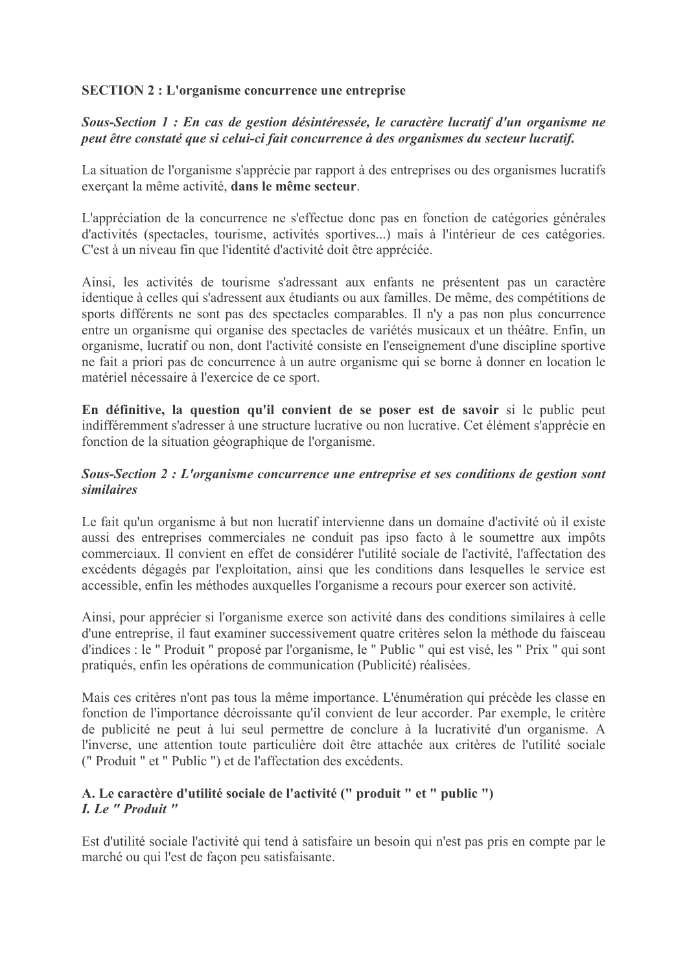# **SECTION 2 : L'organisme concurrence une entreprise**

# Sous-Section 1 : En cas de gestion désintéressée, le caractère lucratif d'un organisme ne peut être constaté que si celui-ci fait concurrence à des organismes du secteur lucratif.

La situation de l'organisme s'apprécie par rapport à des entreprises ou des organismes lucratifs exerçant la même activité, dans le même secteur.

L'appréciation de la concurrence ne s'effectue donc pas en fonction de catégories générales d'activités (spectacles, tourisme, activités sportives...) mais à l'intérieur de ces catégories. C'est à un niveau fin que l'identité d'activité doit être appréciée.

Ainsi, les activités de tourisme s'adressant aux enfants ne présentent pas un caractère identique à celles qui s'adressent aux étudiants ou aux familles. De même, des compétitions de sports différents ne sont pas des spectacles comparables. Il n'y a pas non plus concurrence entre un organisme qui organise des spectacles de variétés musicaux et un théâtre. Enfin, un organisme, lucratif ou non, dont l'activité consiste en l'enseignement d'une discipline sportive ne fait a priori pas de concurrence à un autre organisme qui se borne à donner en location le matériel nécessaire à l'exercice de ce sport.

En définitive, la question qu'il convient de se poser est de savoir si le public peut indifféremment s'adresser à une structure lucrative ou non lucrative. Cet élément s'apprécie en fonction de la situation géographique de l'organisme.

# Sous-Section 2 : L'organisme concurrence une entreprise et ses conditions de gestion sont *similaires*

Le fait qu'un organisme à but non lucratif intervienne dans un domaine d'activité où il existe aussi des entreprises commerciales ne conduit pas ipso facto à le soumettre aux impôts commerciaux. Il convient en effet de considérer l'utilité sociale de l'activité. l'affectation des excédents dégagés par l'exploitation, ainsi que les conditions dans lesquelles le service est accessible, enfin les méthodes auxquelles l'organisme a recours pour exercer son activité.

Ainsi, pour apprécier si l'organisme exerce son activité dans des conditions similaires à celle d'une entreprise, il faut examiner successivement quatre critères selon la méthode du faisceau d'indices : le " Produit " proposé par l'organisme, le " Public " qui est visé, les " Prix " qui sont pratiqués, enfin les opérations de communication (Publicité) réalisées.

Mais ces critères n'ont pas tous la même importance. L'énumération qui précède les classe en fonction de l'importance décroissante qu'il convient de leur accorder. Par exemple, le critère de publicité ne peut à lui seul permettre de conclure à la lucrativité d'un organisme. A l'inverse, une attention toute particulière doit être attachée aux critères de l'utilité sociale ("Produit " et " Public ") et de l'affectation des excédents.

# A. Le caractère d'utilité sociale de l'activité (" produit " et " public ") I. Le " Produit "

Est d'utilité sociale l'activité qui tend à satisfaire un besoin qui n'est pas pris en compte par le marché ou qui l'est de façon peu satisfaisante.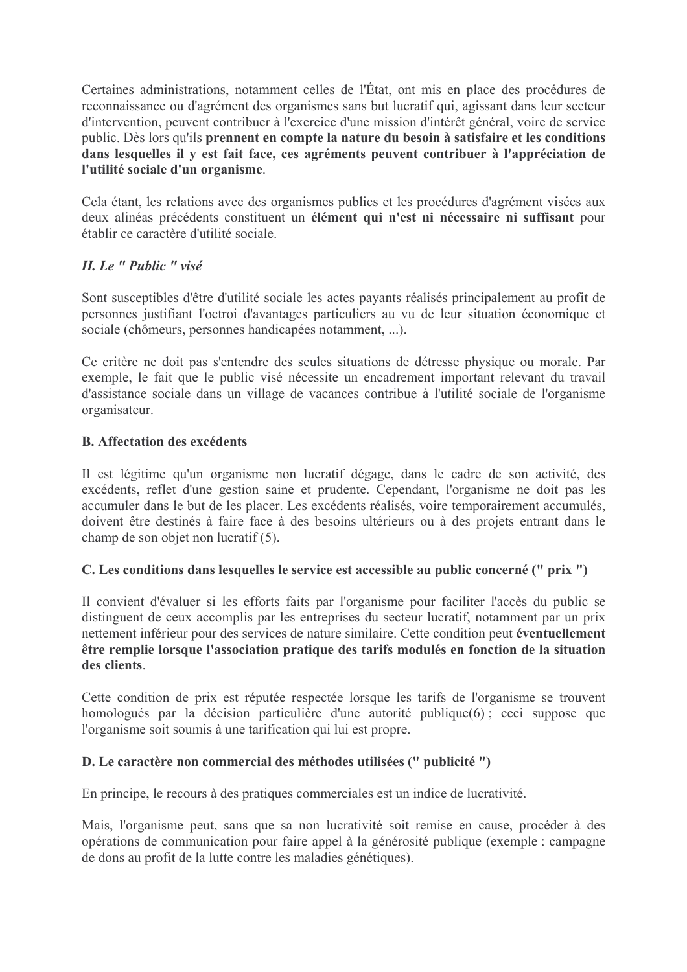Certaines administrations, notamment celles de l'État, ont mis en place des procédures de reconnaissance ou d'agrément des organismes sans but lucratif qui, agissant dans leur secteur d'intervention, peuvent contribuer à l'exercice d'une mission d'intérêt général, voire de service public. Dès lors qu'ils prennent en compte la nature du besoin à satisfaire et les conditions dans lesquelles il y est fait face, ces agréments peuvent contribuer à l'appréciation de l'utilité sociale d'un organisme.

Cela étant, les relations avec des organismes publics et les procédures d'agrément visées aux deux alinéas précédents constituent un élément qui n'est ni nécessaire ni suffisant pour établir ce caractère d'utilité sociale.

# II. Le " Public " visé

Sont susceptibles d'être d'utilité sociale les actes payants réalisés principalement au profit de personnes iustifiant l'octroi d'avantages particuliers au vu de leur situation économique et sociale (chômeurs, personnes handicapées notamment, ...).

Ce critère ne doit pas s'entendre des seules situations de détresse physique ou morale. Par exemple, le fait que le public visé nécessite un encadrement important relevant du travail d'assistance sociale dans un village de vacances contribue à l'utilité sociale de l'organisme organisateur.

# **B.** Affectation des excédents

Il est légitime qu'un organisme non lucratif dégage, dans le cadre de son activité, des excédents, reflet d'une gestion saine et prudente. Cependant, l'organisme ne doit pas les accumuler dans le but de les placer. Les excédents réalisés, voire temporairement accumulés, doivent être destinés à faire face à des besoins ultérieurs ou à des projets entrant dans le champ de son objet non lucratif (5).

# C. Les conditions dans lesquelles le service est accessible au public concerné (" prix ")

Il convient d'évaluer si les efforts faits par l'organisme pour faciliter l'accès du public se distinguent de ceux accomplis par les entreprises du secteur lucratif, notamment par un prix nettement inférieur pour des services de nature similaire. Cette condition peut éventuellement être remplie lorsque l'association pratique des tarifs modulés en fonction de la situation des clients

Cette condition de prix est réputée respectée lorsque les tarifs de l'organisme se trouvent homologués par la décision particulière d'une autorité publique(6); ceci suppose que l'organisme soit soumis à une tarification qui lui est propre.

# D. Le caractère non commercial des méthodes utilisées (" publicité ")

En principe, le recours à des pratiques commerciales est un indice de lucrativité.

Mais, l'organisme peut, sans que sa non lucrativité soit remise en cause, procéder à des opérations de communication pour faire appel à la générosité publique (exemple : campagne de dons au profit de la lutte contre les maladies génétiques).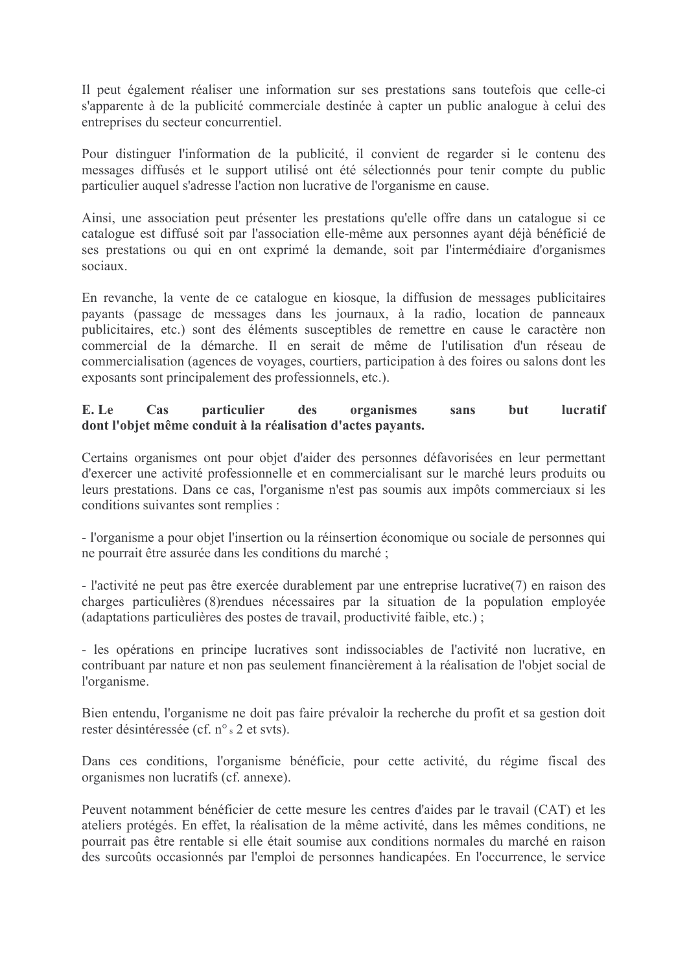Il peut également réaliser une information sur ses prestations sans toutefois que celle-ci s'apparente à de la publicité commerciale destinée à capter un public analogue à celui des entreprises du secteur concurrentiel.

Pour distinguer l'information de la publicité, il convient de regarder si le contenu des messages diffusés et le support utilisé ont été sélectionnés pour tenir compte du public particulier auquel s'adresse l'action non lucrative de l'organisme en cause.

Ainsi, une association peut présenter les prestations qu'elle offre dans un catalogue si ce catalogue est diffusé soit par l'association elle-même aux personnes avant déjà bénéficié de ses prestations ou qui en ont exprimé la demande, soit par l'intermédiaire d'organismes sociaux.

En revanche, la vente de ce catalogue en kiosque, la diffusion de messages publicitaires payants (passage de messages dans les journaux, à la radio, location de panneaux publicitaires, etc.) sont des éléments susceptibles de remettre en cause le caractère non commercial de la démarche. Il en serait de même de l'utilisation d'un réseau de commercialisation (agences de voyages, courtiers, participation à des foires ou salons dont les exposants sont principalement des professionnels, etc.).

#### organismes **lucratif** E. Le Cas particulier but des sans dont l'objet même conduit à la réalisation d'actes payants.

Certains organismes ont pour objet d'aider des personnes défavorisées en leur permettant d'exercer une activité professionnelle et en commercialisant sur le marché leurs produits ou leurs prestations. Dans ce cas, l'organisme n'est pas soumis aux impôts commerciaux si les conditions suivantes sont remplies :

- l'organisme a pour objet l'insertion ou la réinsertion économique ou sociale de personnes qui ne pourrait être assurée dans les conditions du marché ;

- l'activité ne peut pas être exercée durablement par une entreprise lucrative $(7)$  en raison des charges particulières (8) rendues nécessaires par la situation de la population employée (adaptations particulières des postes de travail, productivité faible, etc.);

- les opérations en principe lucratives sont indissociables de l'activité non lucrative, en contribuant par nature et non pas seulement financièrement à la réalisation de l'objet social de l'organisme.

Bien entendu, l'organisme ne doit pas faire prévaloir la recherche du profit et sa gestion doit rester désintéressée (cf. n° s 2 et svts).

Dans ces conditions, l'organisme bénéficie, pour cette activité, du régime fiscal des organismes non lucratifs (cf. annexe).

Peuvent notamment bénéficier de cette mesure les centres d'aides par le travail (CAT) et les ateliers protégés. En effet, la réalisation de la même activité, dans les mêmes conditions, ne pourrait pas être rentable si elle était soumise aux conditions normales du marché en raison des surcoûts occasionnés par l'emploi de personnes handicapées. En l'occurrence, le service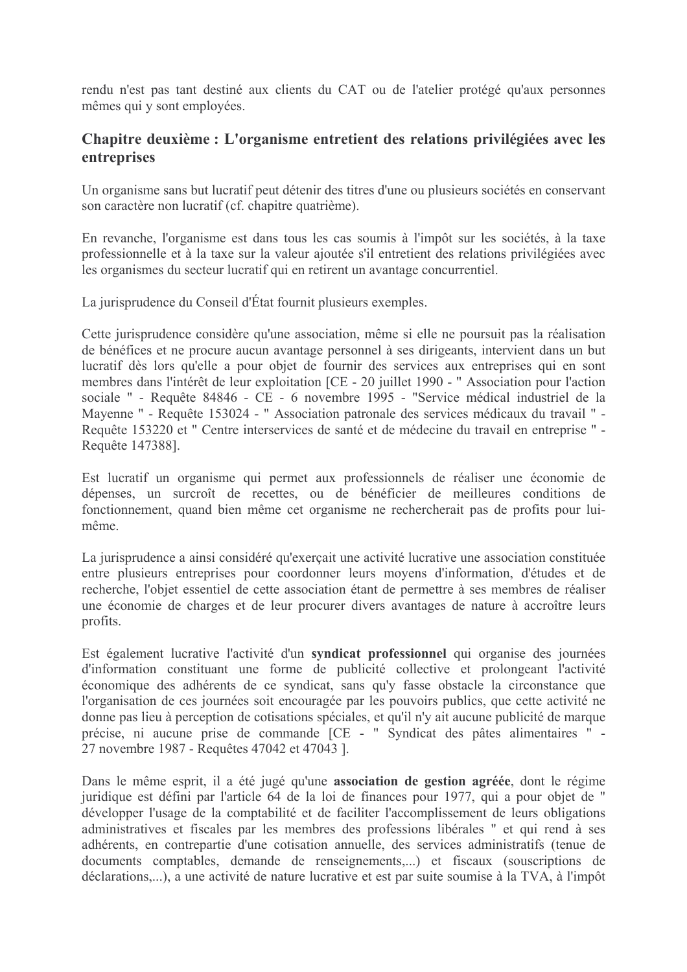rendu n'est pas tant destiné aux clients du CAT ou de l'atelier protégé qu'aux personnes mêmes qui y sont employées.

# Chapitre deuxième : L'organisme entretient des relations privilégiées avec les entreprises

Un organisme sans but lucratif peut détenir des titres d'une ou plusieurs sociétés en conservant son caractère non lucratif (cf. chapitre quatrième).

En revanche, l'organisme est dans tous les cas soumis à l'impôt sur les sociétés, à la taxe professionnelle et à la taxe sur la valeur ajoutée s'il entretient des relations privilégiées avec les organismes du secteur lucratif qui en retirent un avantage concurrentiel.

La jurisprudence du Conseil d'État fournit plusieurs exemples.

Cette jurisprudence considère qu'une association, même si elle ne poursuit pas la réalisation de bénéfices et ne procure aucun avantage personnel à ses dirigeants, intervient dans un but lucratif dès lors qu'elle a pour objet de fournir des services aux entreprises qui en sont membres dans l'intérêt de leur exploitation [CE - 20 juillet 1990 - "Association pour l'action sociale " - Requête 84846 - CE - 6 novembre 1995 - "Service médical industriel de la Mayenne " - Requête 153024 - " Association patronale des services médicaux du travail " -Requête 153220 et " Centre interservices de santé et de médecine du travail en entreprise " -Requête 147388].

Est lucratif un organisme qui permet aux professionnels de réaliser une économie de dépenses, un surcroît de recettes, ou de bénéficier de meilleures conditions de fonctionnement, quand bien même cet organisme ne rechercherait pas de profits pour luimême

La jurisprudence a ainsi considéré qu'exerçait une activité lucrative une association constituée entre plusieurs entreprises pour coordonner leurs movens d'information, d'études et de recherche, l'objet essentiel de cette association étant de permettre à ses membres de réaliser une économie de charges et de leur procurer divers avantages de nature à accroître leurs profits.

Est également lucrative l'activité d'un syndicat professionnel qui organise des journées d'information constituant une forme de publicité collective et prolongeant l'activité économique des adhérents de ce syndicat, sans qu'y fasse obstacle la circonstance que l'organisation de ces journées soit encouragée par les pouvoirs publics, que cette activité ne donne pas lieu à perception de cotisations spéciales, et qu'il n'y ait aucune publicité de marque précise, ni aucune prise de commande [CE - " Syndicat des pâtes alimentaires " -27 novembre 1987 - Requêtes 47042 et 47043 ].

Dans le même esprit, il a été jugé qu'une association de gestion agréée, dont le régime juridique est défini par l'article 64 de la loi de finances pour 1977, qui a pour objet de " développer l'usage de la comptabilité et de faciliter l'accomplissement de leurs obligations administratives et fiscales par les membres des professions libérales " et qui rend à ses adhérents, en contrepartie d'une cotisation annuelle, des services administratifs (tenue de documents comptables, demande de renseignements,...) et fiscaux (souscriptions de déclarations,...), a une activité de nature lucrative et est par suite soumise à la TVA, à l'impôt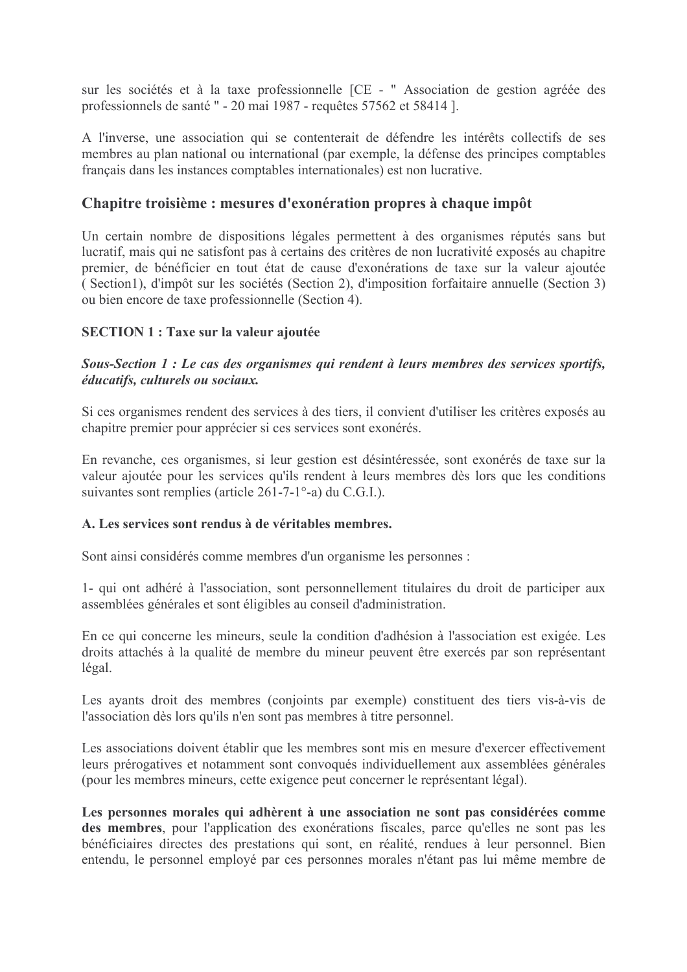sur les sociétés et à la taxe professionnelle [CE - " Association de gestion agréée des professionnels de santé " - 20 mai 1987 - requêtes 57562 et 58414 ].

A l'inverse, une association qui se contenterait de défendre les intérêts collectifs de ses membres au plan national ou international (par exemple, la défense des principes comptables français dans les instances comptables internationales) est non lucrative.

# Chapitre troisième : mesures d'exonération propres à chaque impôt

Un certain nombre de dispositions légales permettent à des organismes réputés sans but lucratif, mais qui ne satisfont pas à certains des critères de non lucrativité exposés au chapitre premier, de bénéficier en tout état de cause d'exonérations de taxe sur la valeur ajoutée (Section1), d'impôt sur les sociétés (Section 2), d'imposition forfaitaire annuelle (Section 3) ou bien encore de taxe professionnelle (Section 4).

# **SECTION 1 : Taxe sur la valeur ajoutée**

## Sous-Section 1 : Le cas des organismes qui rendent à leurs membres des services sportifs, éducatifs, culturels ou sociaux.

Si ces organismes rendent des services à des tiers, il convient d'utiliser les critères exposés au chapitre premier pour apprécier si ces services sont exonérés.

En revanche, ces organismes, si leur gestion est désintéressée, sont exonérés de taxe sur la valeur ajoutée pour les services qu'ils rendent à leurs membres dès lors que les conditions suivantes sont remplies (article 261-7-1°-a) du C.G.I.).

#### A. Les services sont rendus à de véritables membres.

Sont ainsi considérés comme membres d'un organisme les personnes :

1- qui ont adhéré à l'association, sont personnellement titulaires du droit de participer aux assemblées générales et sont éligibles au conseil d'administration.

En ce qui concerne les mineurs, seule la condition d'adhésion à l'association est exigée. Les droits attachés à la qualité de membre du mineur peuvent être exercés par son représentant légal.

Les ayants droit des membres (conjoints par exemple) constituent des tiers vis-à-vis de l'association dès lors qu'ils n'en sont pas membres à titre personnel.

Les associations doivent établir que les membres sont mis en mesure d'exercer effectivement leurs prérogatives et notamment sont convoqués individuellement aux assemblées générales (pour les membres mineurs, cette exigence peut concerner le représentant légal).

Les personnes morales qui adhèrent à une association ne sont pas considérées comme des membres, pour l'application des exonérations fiscales, parce qu'elles ne sont pas les bénéficiaires directes des prestations qui sont, en réalité, rendues à leur personnel. Bien entendu, le personnel employé par ces personnes morales n'étant pas lui même membre de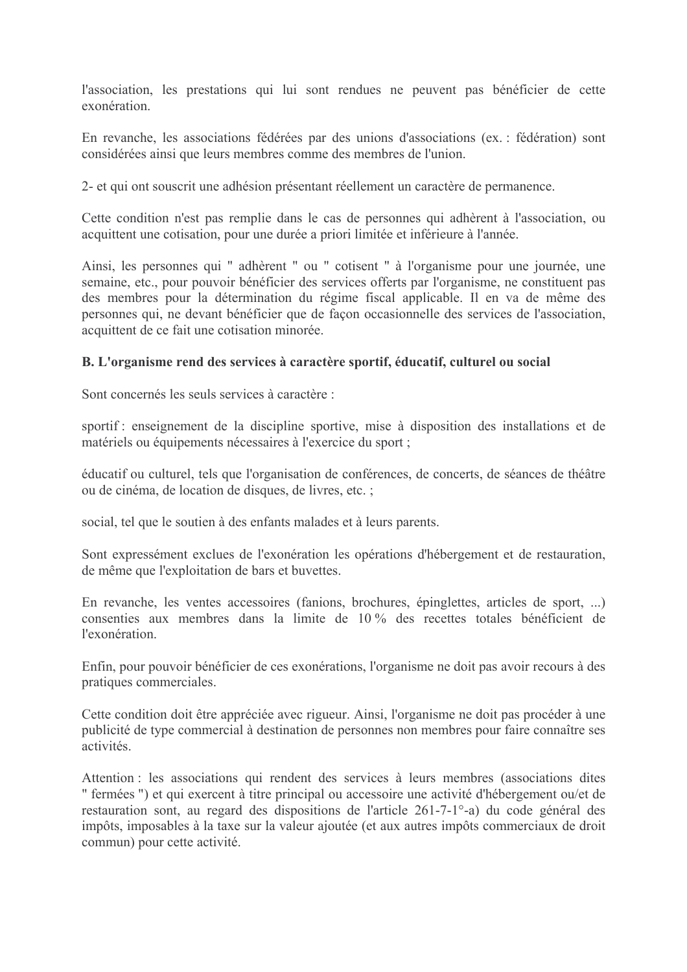l'association, les prestations qui lui sont rendues ne peuvent pas bénéficier de cette exonération.

En revanche, les associations fédérées par des unions d'associations (ex. : fédération) sont considérées ainsi que leurs membres comme des membres de l'union.

2- et qui ont souscrit une adhésion présentant réellement un caractère de permanence.

Cette condition n'est pas remplie dans le cas de personnes qui adhèrent à l'association, ou acquittent une cotisation, pour une durée a priori limitée et inférieure à l'année.

Ainsi, les personnes qui " adhèrent " ou " cotisent " à l'organisme pour une journée, une semaine, etc., pour pouvoir bénéficier des services offerts par l'organisme, ne constituent pas des membres pour la détermination du régime fiscal applicable. Il en va de même des personnes qui, ne devant bénéficier que de façon occasionnelle des services de l'association, acquittent de ce fait une cotisation minorée.

## B. L'organisme rend des services à caractère sportif, éducatif, culturel ou social

Sont concernés les seuls services à caractère :

sportif : enseignement de la discipline sportive, mise à disposition des installations et de matériels ou équipements nécessaires à l'exercice du sport ;

éducatif ou culturel, tels que l'organisation de conférences, de concerts, de séances de théâtre ou de cinéma, de location de disques, de livres, etc.;

social, tel que le soutien à des enfants malades et à leurs parents.

Sont expressément exclues de l'exonération les opérations d'hébergement et de restauration, de même que l'exploitation de bars et buvettes.

En revanche, les ventes accessoires (fanions, brochures, épinglettes, articles de sport, ...) consenties aux membres dans la limite de 10% des recettes totales bénéficient de l'exonération

Enfin, pour pouvoir bénéficier de ces exonérations, l'organisme ne doit pas avoir recours à des pratiques commerciales.

Cette condition doit être appréciée avec rigueur. Ainsi, l'organisme ne doit pas procéder à une publicité de type commercial à destination de personnes non membres pour faire connaître ses activités

Attention : les associations qui rendent des services à leurs membres (associations dites " fermées ") et qui exercent à titre principal ou accessoire une activité d'hébergement ou/et de restauration sont, au regard des dispositions de l'article 261-7-1<sup>°</sup>-a) du code général des impôts, imposables à la taxe sur la valeur ajoutée (et aux autres impôts commerciaux de droit commun) pour cette activité.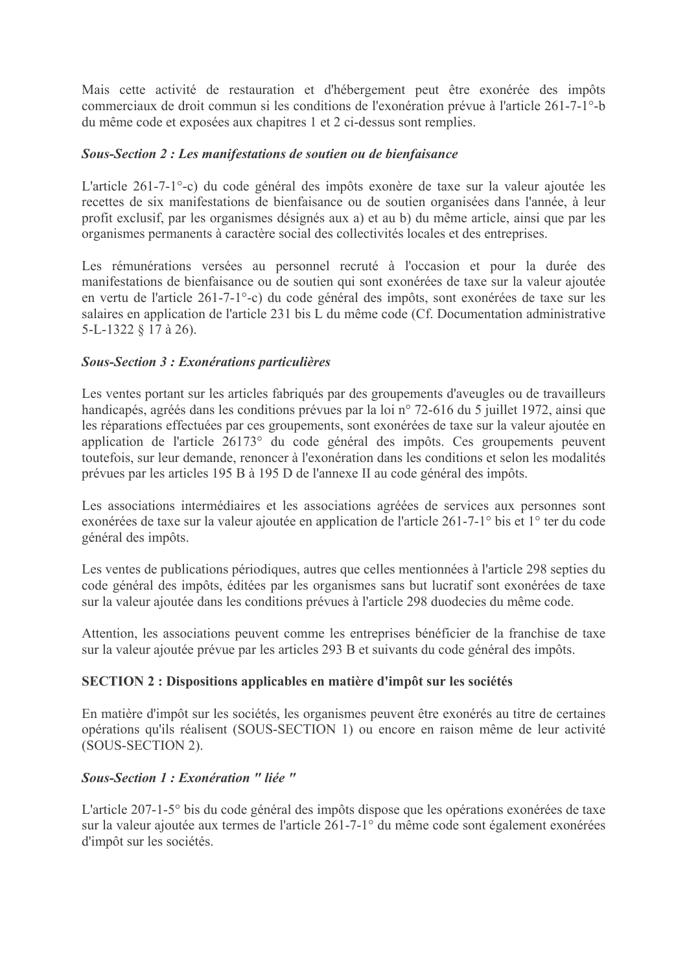Mais cette activité de restauration et d'hébergement peut être exonérée des impôts commerciaux de droit commun si les conditions de l'exonération prévue à l'article 261-7-1<sup>o</sup>-b du même code et exposées aux chapitres 1 et 2 ci-dessus sont remplies.

# Sous-Section 2 : Les manifestations de soutien ou de bienfaisance

L'article 261-7-1<sup>o</sup>-c) du code général des impôts exonère de taxe sur la valeur ajoutée les recettes de six manifestations de bienfaisance ou de soutien organisées dans l'année, à leur profit exclusif, par les organismes désignés aux a) et au b) du même article, ainsi que par les organismes permanents à caractère social des collectivités locales et des entreprises.

Les rémunérations versées au personnel recruté à l'occasion et pour la durée des manifestations de bienfaisance ou de soutien qui sont exonérées de taxe sur la valeur ajoutée en vertu de l'article 261-7-1<sup>o</sup>-c) du code général des impôts, sont exonérées de taxe sur les salaires en application de l'article 231 bis L du même code (Cf. Documentation administrative 5-L-1322 § 17 à 26).

## **Sous-Section 3 : Exonérations particulières**

Les ventes portant sur les articles fabriqués par des groupements d'aveugles ou de travailleurs handicapés, agréés dans les conditions prévues par la loi n° 72-616 du 5 juillet 1972, ainsi que les réparations effectuées par ces groupements, sont exonérées de taxe sur la valeur ajoutée en application de l'article 26173° du code général des impôts. Ces groupements peuvent toutefois, sur leur demande, renoncer à l'exonération dans les conditions et selon les modalités prévues par les articles 195 B à 195 D de l'annexe II au code général des impôts.

Les associations intermédiaires et les associations agréées de services aux personnes sont exonérées de taxe sur la valeur ajoutée en application de l'article 261-7-1<sup>°</sup> bis et 1<sup>°</sup> ter du code général des impôts.

Les ventes de publications périodiques, autres que celles mentionnées à l'article 298 septies du code général des impôts, éditées par les organismes sans but lucratif sont exonérées de taxe sur la valeur ajoutée dans les conditions prévues à l'article 298 duodecies du même code.

Attention, les associations peuvent comme les entreprises bénéficier de la franchise de taxe sur la valeur ajoutée prévue par les articles 293 B et suivants du code général des impôts.

#### **SECTION 2 : Dispositions applicables en matière d'impôt sur les sociétés**

En matière d'impôt sur les sociétés, les organismes peuvent être exonérés au titre de certaines opérations qu'ils réalisent (SOUS-SECTION 1) ou encore en raison même de leur activité (SOUS-SECTION 2).

#### Sous-Section 1 : Exonération " liée "

L'article 207-1-5° bis du code général des impôts dispose que les opérations exonérées de taxe sur la valeur ajoutée aux termes de l'article 261-7-1° du même code sont également exonérées d'impôt sur les sociétés.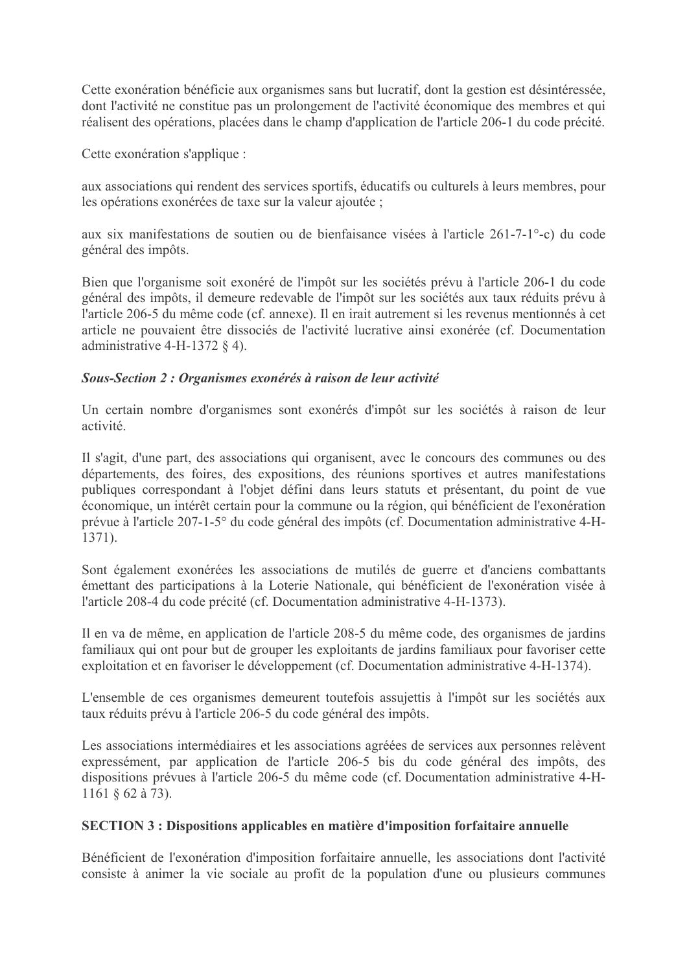Cette exonération bénéficie aux organismes sans but lucratif, dont la gestion est désintéressée, dont l'activité ne constitue pas un prolongement de l'activité économique des membres et qui réalisent des opérations, placées dans le champ d'application de l'article 206-1 du code précité.

Cette exonération s'applique :

aux associations qui rendent des services sportifs, éducatifs ou culturels à leurs membres, pour les opérations exonérées de taxe sur la valeur ajoutée ;

aux six manifestations de soutien ou de bienfaisance visées à l'article 261-7-1<sup>o</sup>-c) du code général des impôts.

Bien que l'organisme soit exonéré de l'impôt sur les sociétés prévu à l'article 206-1 du code général des impôts, il demeure redevable de l'impôt sur les sociétés aux taux réduits prévu à l'article 206-5 du même code (cf. annexe). Il en irait autrement si les revenus mentionnés à cet article ne pouvaient être dissociés de l'activité lucrative ainsi exonérée (cf. Documentation administrative 4-H-1372  $\&$  4).

## Sous-Section 2 : Organismes exonérés à raison de leur activité

Un certain nombre d'organismes sont exonérés d'impôt sur les sociétés à raison de leur activité

Il s'agit, d'une part, des associations qui organisent, avec le concours des communes ou des départements, des foires, des expositions, des réunions sportives et autres manifestations publiques correspondant à l'objet défini dans leurs statuts et présentant, du point de vue économique, un intérêt certain pour la commune ou la région, qui bénéficient de l'exonération prévue à l'article 207-1-5° du code général des impôts (cf. Documentation administrative 4-H- $1371$ ).

Sont également exonérées les associations de mutilés de guerre et d'anciens combattants émettant des participations à la Loterie Nationale, qui bénéficient de l'exonération visée à l'article 208-4 du code précité (cf. Documentation administrative 4-H-1373).

Il en va de même, en application de l'article 208-5 du même code, des organismes de jardins familiaux qui ont pour but de grouper les exploitants de jardins familiaux pour favoriser cette exploitation et en favoriser le développement (cf. Documentation administrative 4-H-1374).

L'ensemble de ces organismes demeurent toutefois assujettis à l'impôt sur les sociétés aux taux réduits prévu à l'article 206-5 du code général des impôts.

Les associations intermédiaires et les associations agréées de services aux personnes relèvent expressément, par application de l'article 206-5 bis du code général des impôts, des dispositions prévues à l'article 206-5 du même code (cf. Documentation administrative 4-H-1161 § 62 à 73).

# **SECTION 3 : Dispositions applicables en matière d'imposition forfaitaire annuelle**

Bénéficient de l'exonération d'imposition forfaitaire annuelle, les associations dont l'activité consiste à animer la vie sociale au profit de la population d'une ou plusieurs communes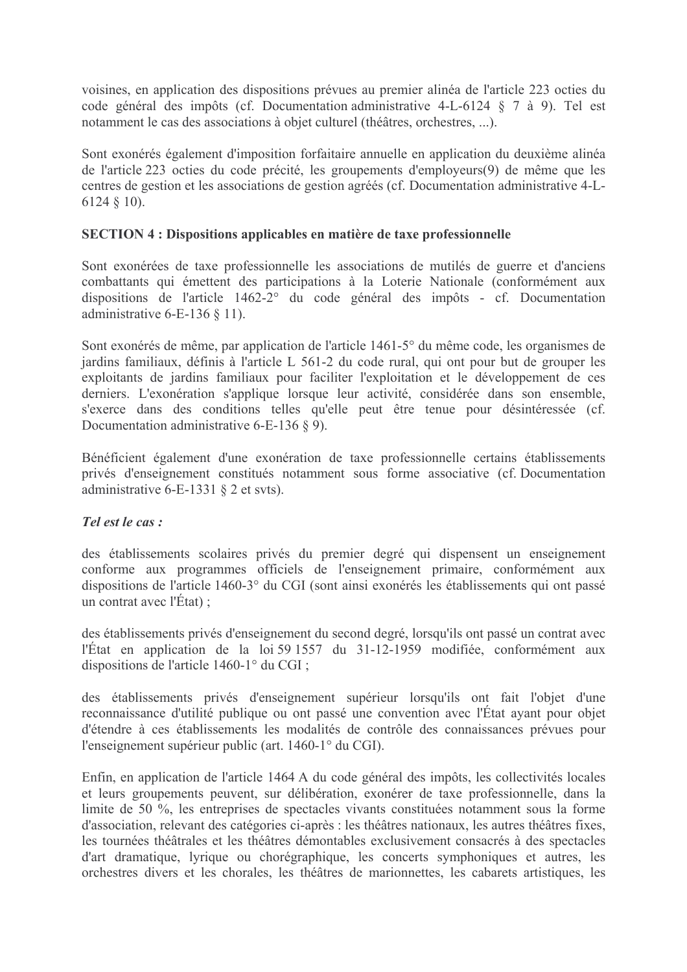voisines, en application des dispositions prévues au premier alinéa de l'article 223 octies du code général des impôts (cf. Documentation administrative 4-L-6124 § 7 à 9). Tel est notamment le cas des associations à objet culturel (théâtres, orchestres, ...).

Sont exonérés également d'imposition forfaitaire annuelle en application du deuxième alinéa de l'article 223 octies du code précité, les groupements d'employeurs(9) de même que les centres de gestion et les associations de gestion agréés (cf. Documentation administrative 4-L- $6124 \tS 10$ ).

# **SECTION 4 : Dispositions applicables en matière de taxe professionnelle**

Sont exonérées de taxe professionnelle les associations de mutilés de guerre et d'anciens combattants qui émettent des participations à la Loterie Nationale (conformément aux dispositions de l'article 1462-2° du code général des impôts - cf. Documentation administrative 6-E-136  $\S$  11).

Sont exonérés de même, par application de l'article 1461-5° du même code, les organismes de jardins familiaux, définis à l'article L 561-2 du code rural, qui ont pour but de grouper les exploitants de jardins familiaux pour faciliter l'exploitation et le développement de ces derniers. L'exonération s'applique lorsque leur activité, considérée dans son ensemble, s'exerce dans des conditions telles qu'elle peut être tenue pour désintéressée (cf. Documentation administrative 6-E-136  $\,$  9).

Bénéficient également d'une exonération de taxe professionnelle certains établissements privés d'enseignement constitués notamment sous forme associative (cf. Documentation administrative 6-E-1331  $\S$  2 et svts).

# Tel est le cas :

des établissements scolaires privés du premier degré qui dispensent un enseignement conforme aux programmes officiels de l'enseignement primaire, conformément aux dispositions de l'article 1460-3° du CGI (sont ainsi exonérés les établissements qui ont passé un contrat avec l'État);

des établissements privés d'enseignement du second degré, lorsqu'ils ont passé un contrat avec l'État en application de la loi 59 1557 du 31-12-1959 modifiée, conformément aux dispositions de l'article 1460-1° du CGI;

des établissements privés d'enseignement supérieur lorsqu'ils ont fait l'objet d'une reconnaissance d'utilité publique ou ont passé une convention avec l'État ayant pour objet d'étendre à ces établissements les modalités de contrôle des connaissances prévues pour l'enseignement supérieur public (art. 1460-1° du CGI).

Enfin, en application de l'article 1464 A du code général des impôts, les collectivités locales et leurs groupements peuvent, sur délibération, exonérer de taxe professionnelle, dans la limite de 50 %, les entreprises de spectacles vivants constituées notamment sous la forme d'association, relevant des catégories ci-après : les théâtres nationaux, les autres théâtres fixes, les tournées théâtrales et les théâtres démontables exclusivement consacrés à des spectacles d'art dramatique, lyrique ou chorégraphique, les concerts symphoniques et autres, les orchestres divers et les chorales, les théâtres de marionnettes, les cabarets artistiques, les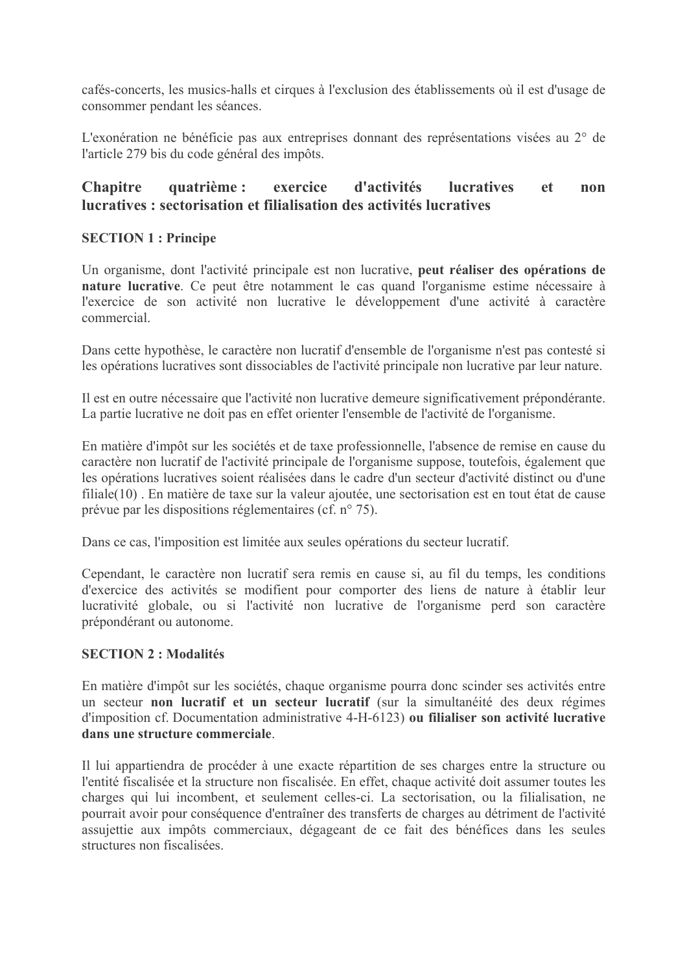cafés-concerts, les musics-halls et cirques à l'exclusion des établissements où il est d'usage de consommer pendant les séances.

L'exonération ne bénéficie pas aux entreprises donnant des représentations visées au 2° de l'article 279 bis du code général des impôts.

#### quatrième : d'activités **lucratives Chapitre** exercice et. non lucratives : sectorisation et filialisation des activités lucratives

# **SECTION 1: Principe**

Un organisme, dont l'activité principale est non lucrative, peut réaliser des opérations de nature lucrative. Ce peut être notamment le cas quand l'organisme estime nécessaire à l'exercice de son activité non lucrative le développement d'une activité à caractère commercial

Dans cette hypothèse, le caractère non lucratif d'ensemble de l'organisme n'est pas contesté si les opérations lucratives sont dissociables de l'activité principale non lucrative par leur nature.

Il est en outre nécessaire que l'activité non lucrative demeure significativement prépondérante. La partie lucrative ne doit pas en effet orienter l'ensemble de l'activité de l'organisme.

En matière d'impôt sur les sociétés et de taxe professionnelle, l'absence de remise en cause du caractère non lucratif de l'activité principale de l'organisme suppose, toutefois, également que les opérations lucratives soient réalisées dans le cadre d'un secteur d'activité distinct ou d'une filiale(10). En matière de taxe sur la valeur ajoutée, une sectorisation est en tout état de cause prévue par les dispositions réglementaires (cf.  $n^{\circ}$  75).

Dans ce cas, l'imposition est limitée aux seules opérations du secteur lucratif.

Cependant, le caractère non lucratif sera remis en cause si, au fil du temps, les conditions d'exercice des activités se modifient pour comporter des liens de nature à établir leur lucrativité globale, ou si l'activité non lucrative de l'organisme perd son caractère prépondérant ou autonome.

# **SECTION 2 : Modalités**

En matière d'impôt sur les sociétés, chaque organisme pourra donc scinder ses activités entre un secteur non lucratif et un secteur lucratif (sur la simultanéité des deux régimes d'imposition cf. Documentation administrative 4-H-6123) ou filialiser son activité lucrative dans une structure commerciale.

Il lui appartiendra de procéder à une exacte répartition de ses charges entre la structure ou l'entité fiscalisée et la structure non fiscalisée. En effet, chaque activité doit assumer toutes les charges qui lui incombent, et seulement celles-ci. La sectorisation, ou la filialisation, ne pourrait avoir pour conséquence d'entraîner des transferts de charges au détriment de l'activité assujettie aux impôts commerciaux, dégageant de ce fait des bénéfices dans les seules structures non fiscalisées